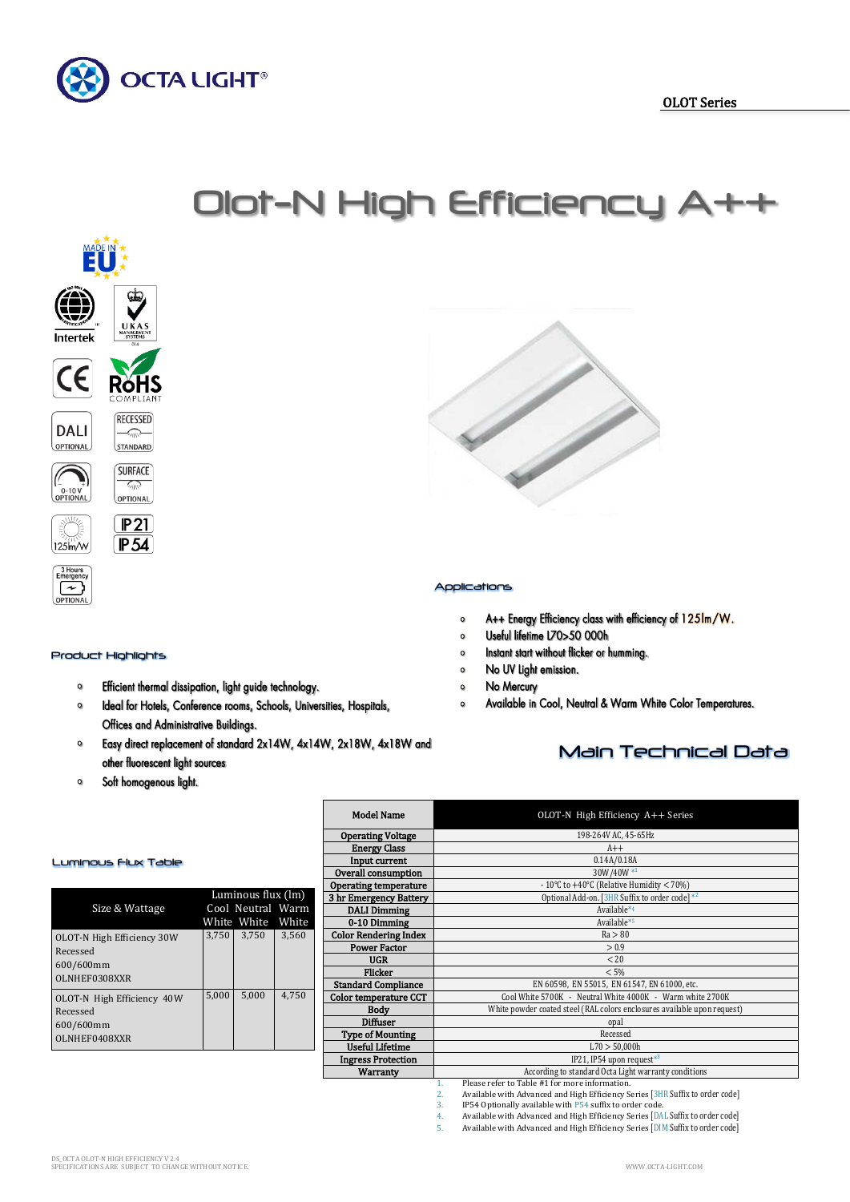



#### Product Highlights

- Efficient thermal dissipation, light guide technology.  $\circ$
- $\circ$ Ideal for Hotels, Conference rooms, Schools, Universities, Hospitals, Offices and Administrative Buildings.
- Easy direct replacement of standard 2x14W, 4x14W, 2x18W, 4x18W and  $\bullet$ other fluorescent light sources
- Soft homogenous light.  $\circ$



### Applications

Olot-N High Efficiency A++

- A++ Energy Efficiency class with efficiency of 125Im/W.  $\circ$
- Useful lifetime L70>50 000h  $\circ$
- $\circ$ Instant start without flicker or humming.
- No UV Light emission.  $\circ$
- No Mercury  $\circ$
- Available in Cool, Neutral & Warm White Color Temperatures.  $\circ$

## Main Technical Data

| <b>Model Name</b>                                                | $OLOT-N$ High Efficiency $A++$ Series                                    |  |  |  |  |  |
|------------------------------------------------------------------|--------------------------------------------------------------------------|--|--|--|--|--|
| <b>Operating Voltage</b>                                         | 198-264V AC, 45-65Hz                                                     |  |  |  |  |  |
| <b>Energy Class</b>                                              | $A++$                                                                    |  |  |  |  |  |
| Input current                                                    | 0.14A/0.18A                                                              |  |  |  |  |  |
| Overall consumption                                              | 30W/40W*1                                                                |  |  |  |  |  |
| <b>Operating temperature</b>                                     | - 10°C to +40°C (Relative Humidity $<$ 70%)                              |  |  |  |  |  |
| 3 hr Emergency Battery                                           | Optional Add-on. [3HR Suffix to order code] *2                           |  |  |  |  |  |
| <b>DALI Dimming</b>                                              | Available*4                                                              |  |  |  |  |  |
| 0-10 Dimming                                                     | Available*5                                                              |  |  |  |  |  |
| <b>Color Rendering Index</b>                                     | Ra > 80                                                                  |  |  |  |  |  |
| <b>Power Factor</b>                                              | > 0.9                                                                    |  |  |  |  |  |
| <b>UGR</b>                                                       | < 20                                                                     |  |  |  |  |  |
| <b>Flicker</b>                                                   | < 5%                                                                     |  |  |  |  |  |
| <b>Standard Compliance</b>                                       | EN 60598, EN 55015, EN 61547, EN 61000, etc.                             |  |  |  |  |  |
| <b>Color temperature CCT</b>                                     | Cool White 5700K - Neutral White 4000K - Warm white 2700K                |  |  |  |  |  |
| <b>Body</b>                                                      | White powder coated steel (RAL colors enclosures available upon request) |  |  |  |  |  |
| <b>Diffuser</b>                                                  | opal                                                                     |  |  |  |  |  |
| <b>Type of Mounting</b>                                          | Recessed                                                                 |  |  |  |  |  |
| <b>Useful Lifetime</b>                                           | L70 > 50,000h                                                            |  |  |  |  |  |
| <b>Ingress Protection</b>                                        | IP21, IP54 upon request*3                                                |  |  |  |  |  |
| <b>Warranty</b>                                                  | According to standard Octa Light warranty conditions                     |  |  |  |  |  |
| Please refer to Table #1 for more information.<br>$\mathbf{1}$ . |                                                                          |  |  |  |  |  |

# 1. Please refer to Table #1 for more information. 2. Available with Advanced and High Efficiency Series [3HR Suffix to order code]

3. IP54 Optionally available with P54 suffix to order code.

4. Available with Advanced and High Efficiency Series [DAL Suffix to order code]<br>5. Available with Advanced and High Efficiency Series [DIM Suffix to order code]

Available with Advanced and High Efficiency Series [DIM Suffix to order code]

#### Luminous Flux Table

| Size & Wattage                                                       |       | Luminous flux (lm)<br>Cool Neutral Warm<br>White White White |       |
|----------------------------------------------------------------------|-------|--------------------------------------------------------------|-------|
| OLOT-N High Efficiency 30W<br>Recessed<br>600/600mm<br>OLNHEF0308XXR | 3,750 | 3,750                                                        | 3,560 |
| OLOT-N High Efficiency 40W<br>Recessed<br>600/600mm<br>OLNHEF0408XXR | 5,000 | 5,000                                                        | 4.750 |